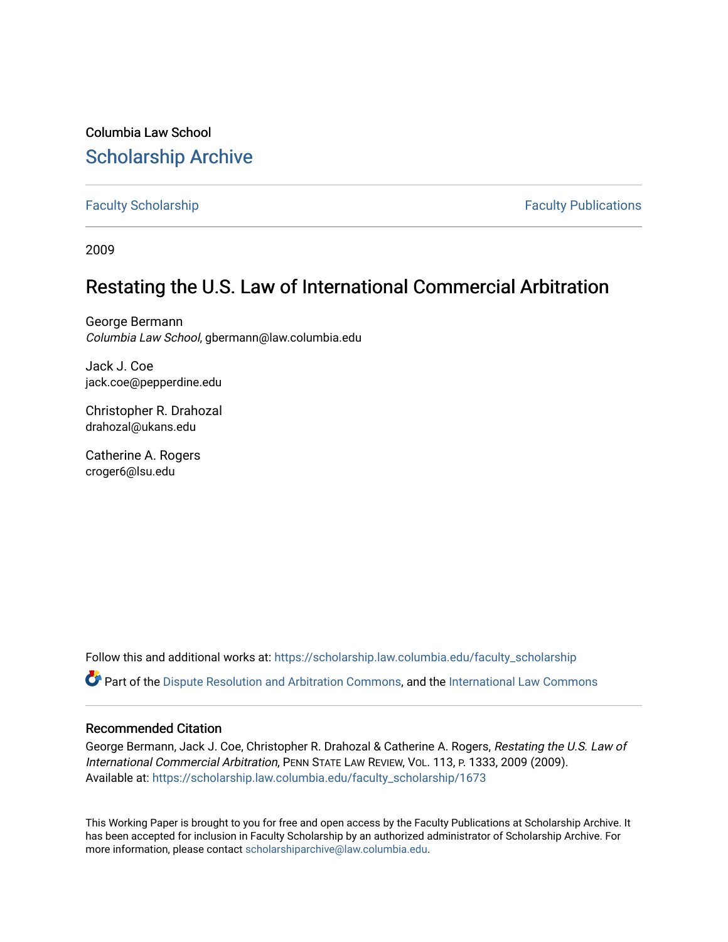Columbia Law School [Scholarship Archive](https://scholarship.law.columbia.edu/) 

[Faculty Scholarship](https://scholarship.law.columbia.edu/faculty_scholarship) **Faculty Scholarship Faculty Publications** 

2009

# Restating the U.S. Law of International Commercial Arbitration

George Bermann Columbia Law School, gbermann@law.columbia.edu

Jack J. Coe jack.coe@pepperdine.edu

Christopher R. Drahozal drahozal@ukans.edu

Catherine A. Rogers croger6@lsu.edu

Follow this and additional works at: [https://scholarship.law.columbia.edu/faculty\\_scholarship](https://scholarship.law.columbia.edu/faculty_scholarship?utm_source=scholarship.law.columbia.edu%2Ffaculty_scholarship%2F1673&utm_medium=PDF&utm_campaign=PDFCoverPages)

Part of the [Dispute Resolution and Arbitration Commons,](http://network.bepress.com/hgg/discipline/890?utm_source=scholarship.law.columbia.edu%2Ffaculty_scholarship%2F1673&utm_medium=PDF&utm_campaign=PDFCoverPages) and the International Law Commons

## Recommended Citation

George Bermann, Jack J. Coe, Christopher R. Drahozal & Catherine A. Rogers, Restating the U.S. Law of International Commercial Arbitration, PENN STATE LAW REVIEW, VOL. 113, P. 1333, 2009 (2009). Available at: [https://scholarship.law.columbia.edu/faculty\\_scholarship/1673](https://scholarship.law.columbia.edu/faculty_scholarship/1673?utm_source=scholarship.law.columbia.edu%2Ffaculty_scholarship%2F1673&utm_medium=PDF&utm_campaign=PDFCoverPages)

This Working Paper is brought to you for free and open access by the Faculty Publications at Scholarship Archive. It has been accepted for inclusion in Faculty Scholarship by an authorized administrator of Scholarship Archive. For more information, please contact [scholarshiparchive@law.columbia.edu.](mailto:scholarshiparchive@law.columbia.edu)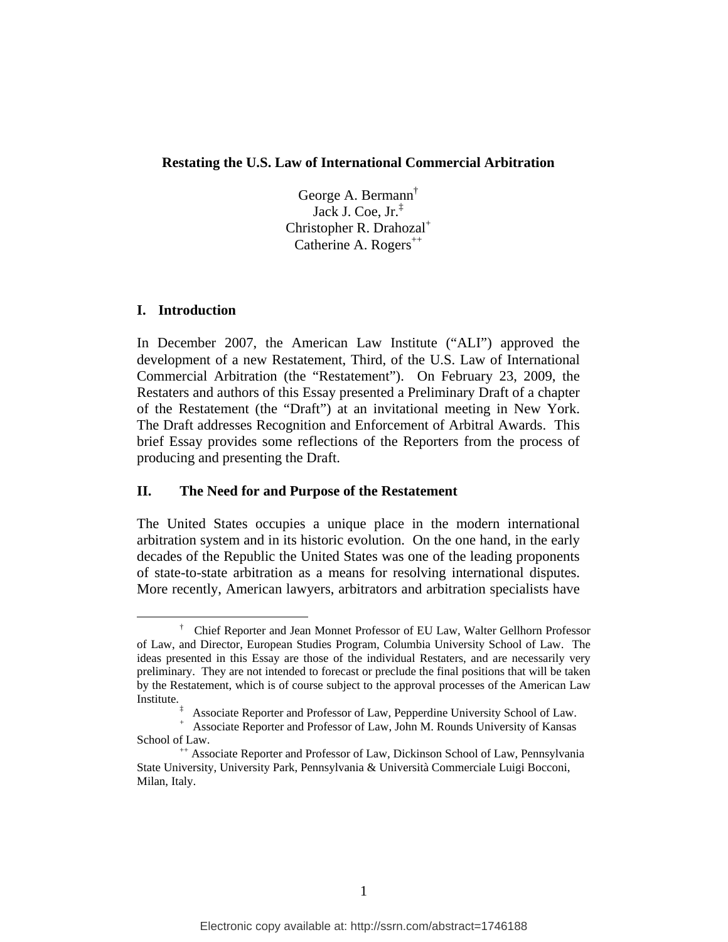#### **Restating the U.S. Law of International Commercial Arbitration**

George A. Bermann† Jack J. Coe, Jr.‡ Christopher R. Drahozal<sup>+</sup> Catherine A. Rogers<sup> $^{++}$ </sup>

### **I. Introduction**

In December 2007, the American Law Institute ("ALI") approved the development of a new Restatement, Third, of the U.S. Law of International Commercial Arbitration (the "Restatement"). On February 23, 2009, the Restaters and authors of this Essay presented a Preliminary Draft of a chapter of the Restatement (the "Draft") at an invitational meeting in New York. The Draft addresses Recognition and Enforcement of Arbitral Awards. This brief Essay provides some reflections of the Reporters from the process of producing and presenting the Draft.

#### **II. The Need for and Purpose of the Restatement**

The United States occupies a unique place in the modern international arbitration system and in its historic evolution. On the one hand, in the early decades of the Republic the United States was one of the leading proponents of state-to-state arbitration as a means for resolving international disputes. More recently, American lawyers, arbitrators and arbitration specialists have

 $\overline{\phantom{a}}$  Chief Reporter and Jean Monnet Professor of EU Law, Walter Gellhorn Professor of Law, and Director, European Studies Program, Columbia University School of Law. The ideas presented in this Essay are those of the individual Restaters, and are necessarily very preliminary. They are not intended to forecast or preclude the final positions that will be taken by the Restatement, which is of course subject to the approval processes of the American Law Institute.

<sup>&</sup>lt;sup>‡</sup> Associate Reporter and Professor of Law, Pepperdine University School of Law.<br><sup>+</sup> Associate Reporter and Professor of Law, Jahn M. Bounda University of Kansas.

Associate Reporter and Professor of Law, John M. Rounds University of Kansas School of Law.<br>
<sup>++</sup> Associate Reporter and Professor of Law, Dickinson School of Law, Pennsylvania

State University, University Park, Pennsylvania & Università Commerciale Luigi Bocconi, Milan, Italy.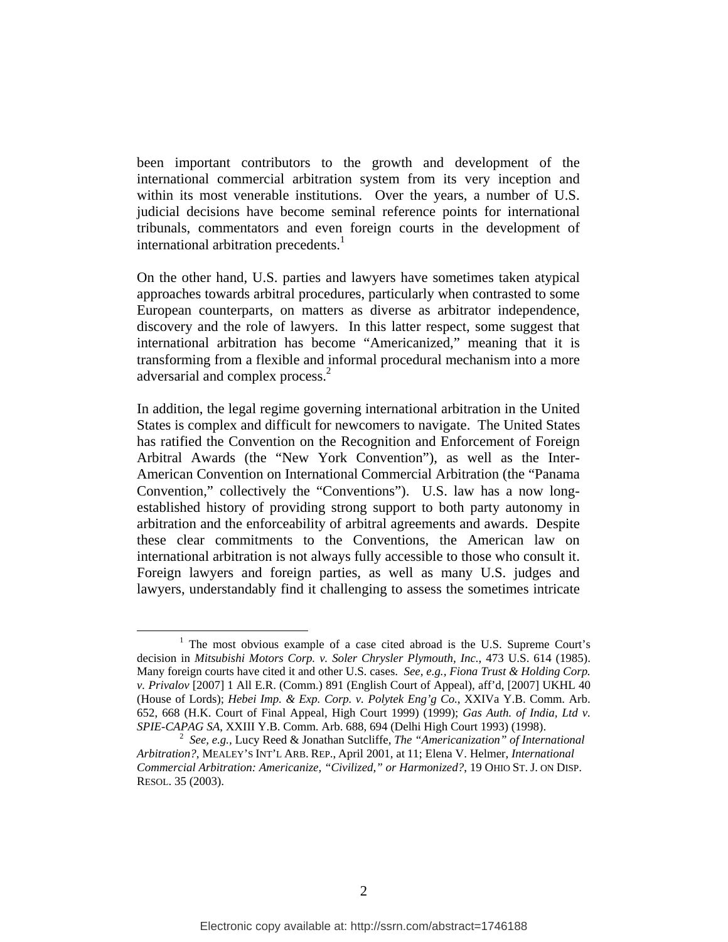been important contributors to the growth and development of the international commercial arbitration system from its very inception and within its most venerable institutions. Over the years, a number of U.S. judicial decisions have become seminal reference points for international tribunals, commentators and even foreign courts in the development of international arbitration precedents.<sup>1</sup>

On the other hand, U.S. parties and lawyers have sometimes taken atypical approaches towards arbitral procedures, particularly when contrasted to some European counterparts, on matters as diverse as arbitrator independence, discovery and the role of lawyers. In this latter respect, some suggest that international arbitration has become "Americanized," meaning that it is transforming from a flexible and informal procedural mechanism into a more adversarial and complex process.<sup>2</sup>

In addition, the legal regime governing international arbitration in the United States is complex and difficult for newcomers to navigate. The United States has ratified the Convention on the Recognition and Enforcement of Foreign Arbitral Awards (the "New York Convention"), as well as the Inter-American Convention on International Commercial Arbitration (the "Panama Convention," collectively the "Conventions"). U.S. law has a now longestablished history of providing strong support to both party autonomy in arbitration and the enforceability of arbitral agreements and awards. Despite these clear commitments to the Conventions, the American law on international arbitration is not always fully accessible to those who consult it. Foreign lawyers and foreign parties, as well as many U.S. judges and lawyers, understandably find it challenging to assess the sometimes intricate

<sup>&</sup>lt;u>1</u> <sup>1</sup> The most obvious example of a case cited abroad is the U.S. Supreme Court's decision in *Mitsubishi Motors Corp. v. Soler Chrysler Plymouth, Inc.*, 473 U.S. 614 (1985). Many foreign courts have cited it and other U.S. cases. *See, e.g., Fiona Trust & Holding Corp. v. Privalov* [2007] 1 All E.R. (Comm.) 891 (English Court of Appeal), aff'd, [2007] UKHL 40 (House of Lords); *Hebei Imp. & Exp. Corp. v. Polytek Eng'g Co.*, XXIVa Y.B. Comm. Arb. 652, 668 (H.K. Court of Final Appeal, High Court 1999) (1999); *Gas Auth. of India, Ltd v. SPIE-CAPAG SA*, XXIII Y.B. Comm. Arb. 688, 694 (Delhi High Court 1993) (1998). 2

*See, e.g.,* Lucy Reed & Jonathan Sutcliffe, *The "Americanization" of International Arbitration?*, MEALEY'S INT'L ARB. REP., April 2001, at 11; Elena V. Helmer, *International Commercial Arbitration: Americanize, "Civilized," or Harmonized?*, 19 OHIO ST. J. ON DISP. RESOL. 35 (2003).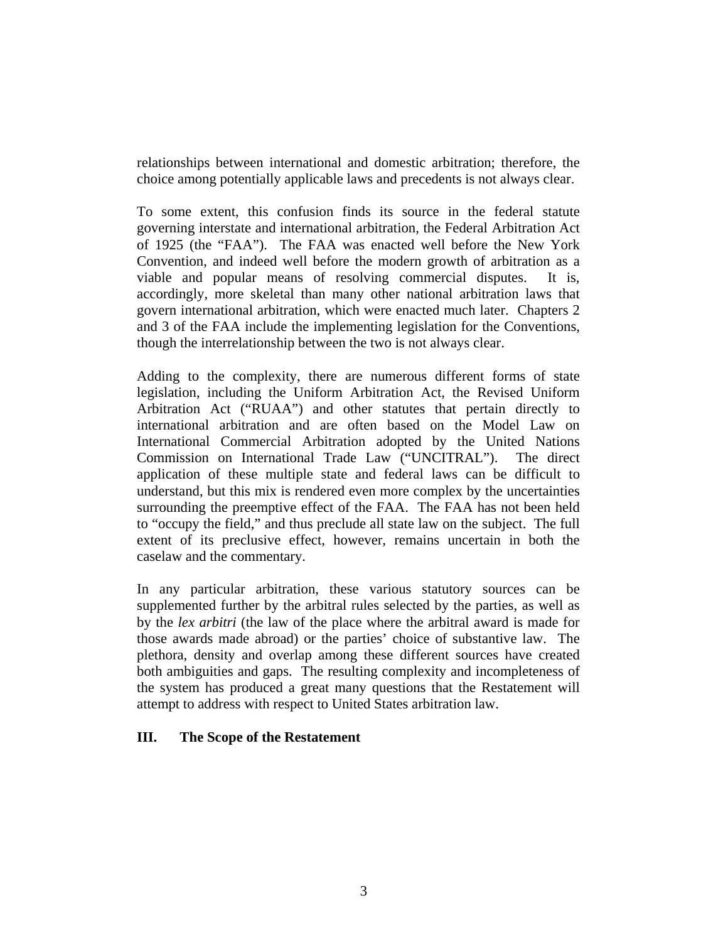relationships between international and domestic arbitration; therefore, the choice among potentially applicable laws and precedents is not always clear.

To some extent, this confusion finds its source in the federal statute governing interstate and international arbitration, the Federal Arbitration Act of 1925 (the "FAA"). The FAA was enacted well before the New York Convention, and indeed well before the modern growth of arbitration as a viable and popular means of resolving commercial disputes. It is, accordingly, more skeletal than many other national arbitration laws that govern international arbitration, which were enacted much later. Chapters 2 and 3 of the FAA include the implementing legislation for the Conventions, though the interrelationship between the two is not always clear.

Adding to the complexity, there are numerous different forms of state legislation, including the Uniform Arbitration Act, the Revised Uniform Arbitration Act ("RUAA") and other statutes that pertain directly to international arbitration and are often based on the Model Law on International Commercial Arbitration adopted by the United Nations Commission on International Trade Law ("UNCITRAL"). The direct application of these multiple state and federal laws can be difficult to understand, but this mix is rendered even more complex by the uncertainties surrounding the preemptive effect of the FAA. The FAA has not been held to "occupy the field," and thus preclude all state law on the subject. The full extent of its preclusive effect, however, remains uncertain in both the caselaw and the commentary.

In any particular arbitration, these various statutory sources can be supplemented further by the arbitral rules selected by the parties, as well as by the *lex arbitri* (the law of the place where the arbitral award is made for those awards made abroad) or the parties' choice of substantive law. The plethora, density and overlap among these different sources have created both ambiguities and gaps. The resulting complexity and incompleteness of the system has produced a great many questions that the Restatement will attempt to address with respect to United States arbitration law.

## **III. The Scope of the Restatement**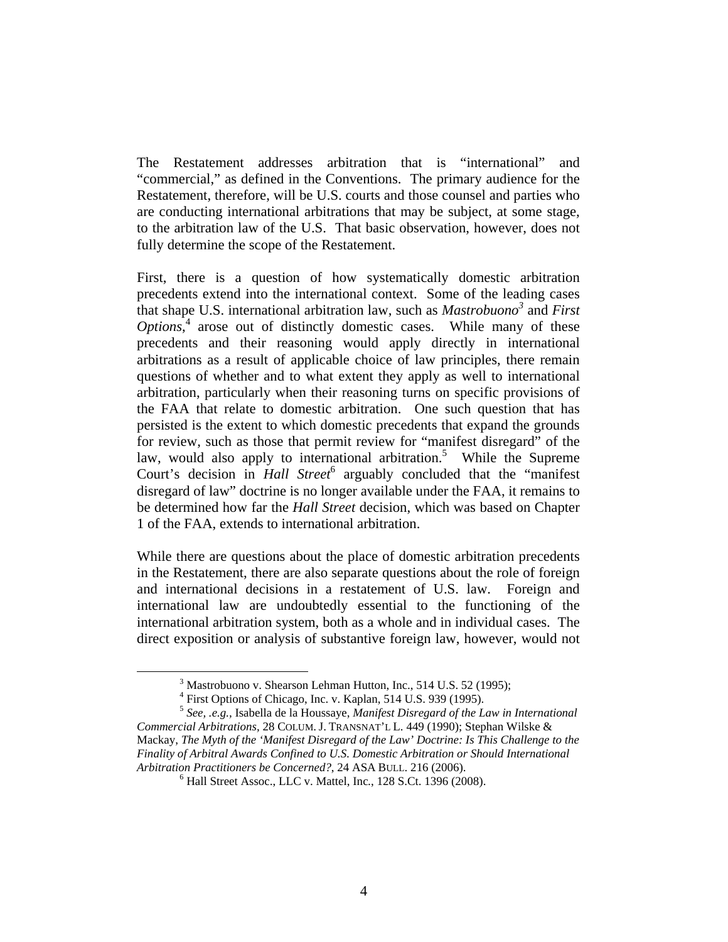The Restatement addresses arbitration that is "international" and "commercial," as defined in the Conventions. The primary audience for the Restatement, therefore, will be U.S. courts and those counsel and parties who are conducting international arbitrations that may be subject, at some stage, to the arbitration law of the U.S. That basic observation, however, does not fully determine the scope of the Restatement.

First, there is a question of how systematically domestic arbitration precedents extend into the international context. Some of the leading cases that shape U.S. international arbitration law, such as *Mastrobuono3* and *First*  Options,<sup>4</sup> arose out of distinctly domestic cases. While many of these precedents and their reasoning would apply directly in international arbitrations as a result of applicable choice of law principles, there remain questions of whether and to what extent they apply as well to international arbitration, particularly when their reasoning turns on specific provisions of the FAA that relate to domestic arbitration. One such question that has persisted is the extent to which domestic precedents that expand the grounds for review, such as those that permit review for "manifest disregard" of the law, would also apply to international arbitration.<sup>5</sup> While the Supreme Court's decision in *Hall Street*<sup>6</sup> arguably concluded that the "manifest" disregard of law" doctrine is no longer available under the FAA, it remains to be determined how far the *Hall Street* decision, which was based on Chapter 1 of the FAA, extends to international arbitration.

While there are questions about the place of domestic arbitration precedents in the Restatement, there are also separate questions about the role of foreign and international decisions in a restatement of U.S. law. Foreign and international law are undoubtedly essential to the functioning of the international arbitration system, both as a whole and in individual cases. The direct exposition or analysis of substantive foreign law, however, would not

 $\frac{1}{3}$ <sup>3</sup> Mastrobuono v. Shearson Lehman Hutton, Inc., 514 U.S. 52 (1995);

<sup>&</sup>lt;sup>4</sup> First Options of Chicago, Inc. v. Kaplan, 514 U.S. 939 (1995).

<sup>5</sup> *See, .e.g.,* Isabella de la Houssaye, *Manifest Disregard of the Law in International Commercial Arbitrations,* 28 COLUM. J. TRANSNAT'L L. 449 (1990); Stephan Wilske & Mackay, *The Myth of the 'Manifest Disregard of the Law' Doctrine: Is This Challenge to the Finality of Arbitral Awards Confined to U.S. Domestic Arbitration or Should International Arbitration Practitioners be Concerned?*, 24 ASA BULL. 216 (2006). 6

Hall Street Assoc., LLC v. Mattel, Inc*.*, 128 S.Ct. 1396 (2008).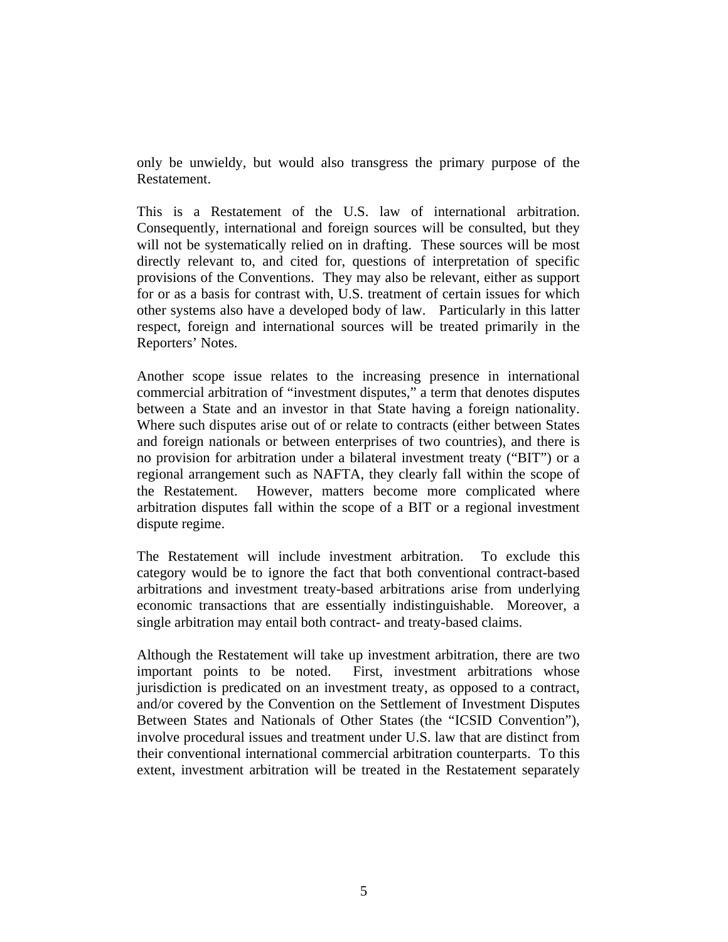only be unwieldy, but would also transgress the primary purpose of the Restatement.

This is a Restatement of the U.S. law of international arbitration. Consequently, international and foreign sources will be consulted, but they will not be systematically relied on in drafting. These sources will be most directly relevant to, and cited for, questions of interpretation of specific provisions of the Conventions. They may also be relevant, either as support for or as a basis for contrast with, U.S. treatment of certain issues for which other systems also have a developed body of law. Particularly in this latter respect, foreign and international sources will be treated primarily in the Reporters' Notes.

Another scope issue relates to the increasing presence in international commercial arbitration of "investment disputes," a term that denotes disputes between a State and an investor in that State having a foreign nationality. Where such disputes arise out of or relate to contracts (either between States and foreign nationals or between enterprises of two countries), and there is no provision for arbitration under a bilateral investment treaty ("BIT") or a regional arrangement such as NAFTA, they clearly fall within the scope of the Restatement. However, matters become more complicated where arbitration disputes fall within the scope of a BIT or a regional investment dispute regime.

The Restatement will include investment arbitration. To exclude this category would be to ignore the fact that both conventional contract-based arbitrations and investment treaty-based arbitrations arise from underlying economic transactions that are essentially indistinguishable. Moreover, a single arbitration may entail both contract- and treaty-based claims.

Although the Restatement will take up investment arbitration, there are two important points to be noted. First, investment arbitrations whose jurisdiction is predicated on an investment treaty, as opposed to a contract, and/or covered by the Convention on the Settlement of Investment Disputes Between States and Nationals of Other States (the "ICSID Convention"), involve procedural issues and treatment under U.S. law that are distinct from their conventional international commercial arbitration counterparts. To this extent, investment arbitration will be treated in the Restatement separately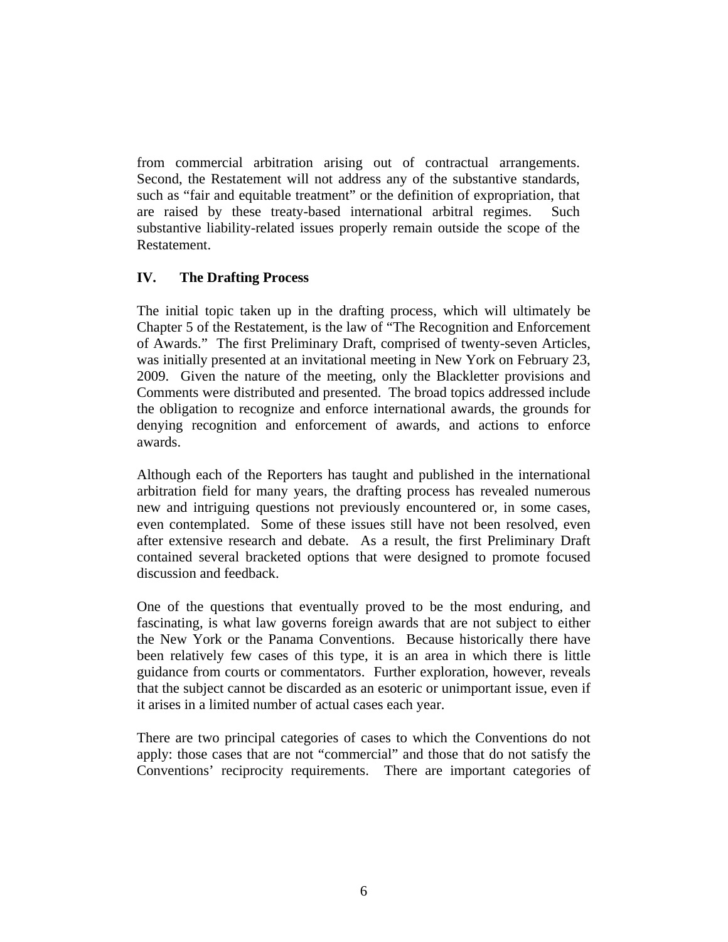from commercial arbitration arising out of contractual arrangements. Second, the Restatement will not address any of the substantive standards, such as "fair and equitable treatment" or the definition of expropriation, that are raised by these treaty-based international arbitral regimes. Such substantive liability-related issues properly remain outside the scope of the Restatement.

# **IV. The Drafting Process**

The initial topic taken up in the drafting process, which will ultimately be Chapter 5 of the Restatement, is the law of "The Recognition and Enforcement of Awards." The first Preliminary Draft, comprised of twenty-seven Articles, was initially presented at an invitational meeting in New York on February 23, 2009. Given the nature of the meeting, only the Blackletter provisions and Comments were distributed and presented. The broad topics addressed include the obligation to recognize and enforce international awards, the grounds for denying recognition and enforcement of awards, and actions to enforce awards.

Although each of the Reporters has taught and published in the international arbitration field for many years, the drafting process has revealed numerous new and intriguing questions not previously encountered or, in some cases, even contemplated. Some of these issues still have not been resolved, even after extensive research and debate. As a result, the first Preliminary Draft contained several bracketed options that were designed to promote focused discussion and feedback.

One of the questions that eventually proved to be the most enduring, and fascinating, is what law governs foreign awards that are not subject to either the New York or the Panama Conventions. Because historically there have been relatively few cases of this type, it is an area in which there is little guidance from courts or commentators. Further exploration, however, reveals that the subject cannot be discarded as an esoteric or unimportant issue, even if it arises in a limited number of actual cases each year.

There are two principal categories of cases to which the Conventions do not apply: those cases that are not "commercial" and those that do not satisfy the Conventions' reciprocity requirements. There are important categories of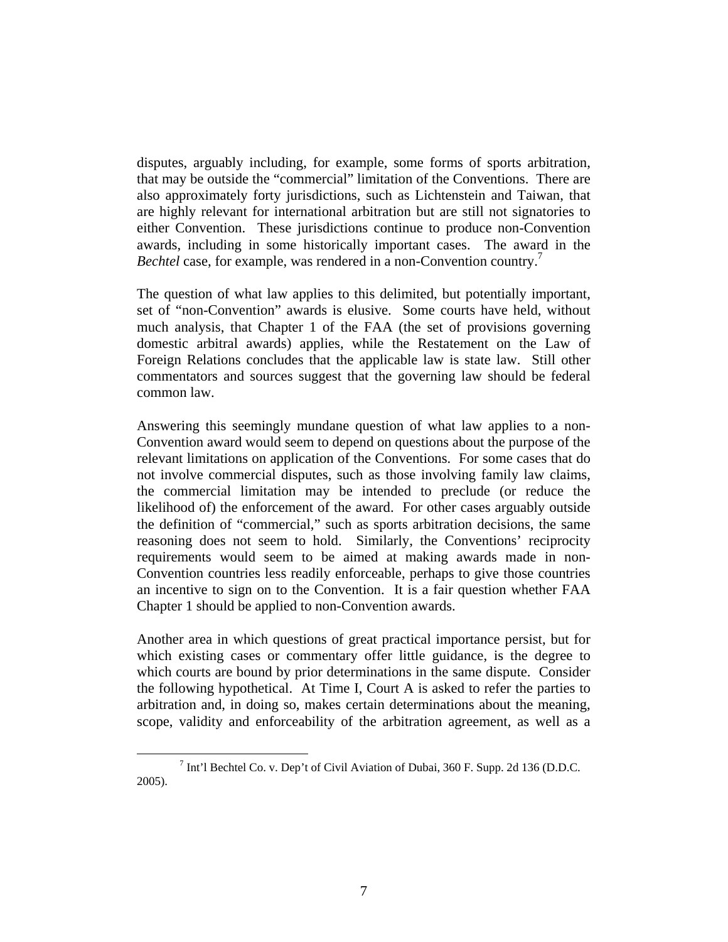disputes, arguably including, for example, some forms of sports arbitration, that may be outside the "commercial" limitation of the Conventions. There are also approximately forty jurisdictions, such as Lichtenstein and Taiwan, that are highly relevant for international arbitration but are still not signatories to either Convention. These jurisdictions continue to produce non-Convention awards, including in some historically important cases. The award in the *Bechtel* case, for example, was rendered in a non-Convention country.7

The question of what law applies to this delimited, but potentially important, set of "non-Convention" awards is elusive. Some courts have held, without much analysis, that Chapter 1 of the FAA (the set of provisions governing domestic arbitral awards) applies, while the Restatement on the Law of Foreign Relations concludes that the applicable law is state law. Still other commentators and sources suggest that the governing law should be federal common law.

Answering this seemingly mundane question of what law applies to a non-Convention award would seem to depend on questions about the purpose of the relevant limitations on application of the Conventions. For some cases that do not involve commercial disputes, such as those involving family law claims, the commercial limitation may be intended to preclude (or reduce the likelihood of) the enforcement of the award. For other cases arguably outside the definition of "commercial," such as sports arbitration decisions, the same reasoning does not seem to hold. Similarly, the Conventions' reciprocity requirements would seem to be aimed at making awards made in non-Convention countries less readily enforceable, perhaps to give those countries an incentive to sign on to the Convention. It is a fair question whether FAA Chapter 1 should be applied to non-Convention awards.

Another area in which questions of great practical importance persist, but for which existing cases or commentary offer little guidance, is the degree to which courts are bound by prior determinations in the same dispute. Consider the following hypothetical. At Time I, Court A is asked to refer the parties to arbitration and, in doing so, makes certain determinations about the meaning, scope, validity and enforceability of the arbitration agreement, as well as a

 <sup>7</sup>  $\frac{7}{1}$  Int'l Bechtel Co. v. Dep't of Civil Aviation of Dubai, 360 F. Supp. 2d 136 (D.D.C. 2005).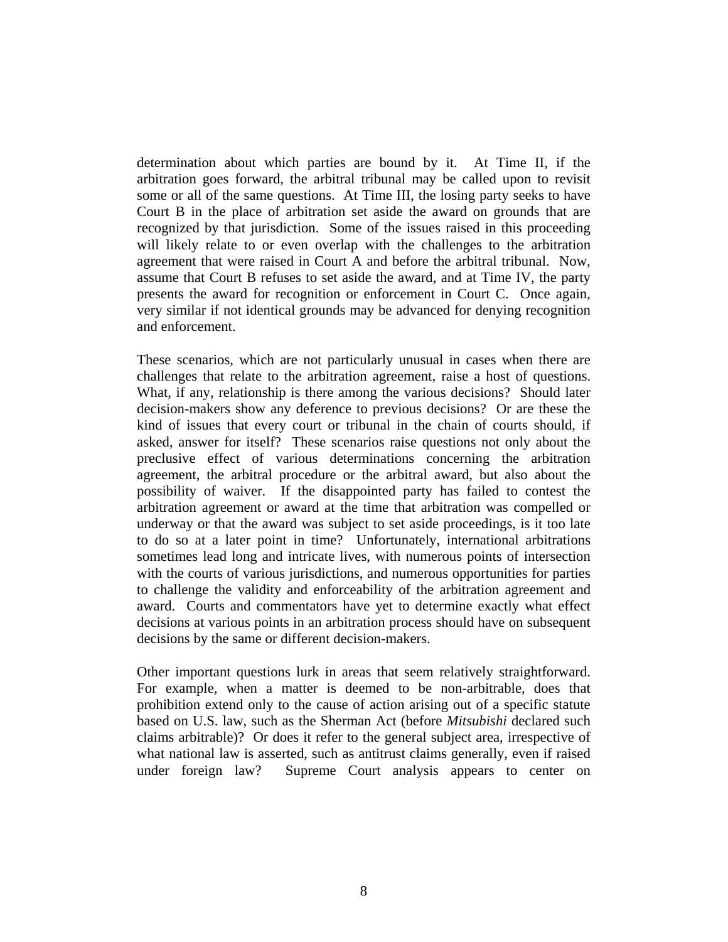determination about which parties are bound by it. At Time II, if the arbitration goes forward, the arbitral tribunal may be called upon to revisit some or all of the same questions. At Time III, the losing party seeks to have Court B in the place of arbitration set aside the award on grounds that are recognized by that jurisdiction. Some of the issues raised in this proceeding will likely relate to or even overlap with the challenges to the arbitration agreement that were raised in Court A and before the arbitral tribunal. Now, assume that Court B refuses to set aside the award, and at Time IV, the party presents the award for recognition or enforcement in Court C. Once again, very similar if not identical grounds may be advanced for denying recognition and enforcement.

These scenarios, which are not particularly unusual in cases when there are challenges that relate to the arbitration agreement, raise a host of questions. What, if any, relationship is there among the various decisions? Should later decision-makers show any deference to previous decisions? Or are these the kind of issues that every court or tribunal in the chain of courts should, if asked, answer for itself? These scenarios raise questions not only about the preclusive effect of various determinations concerning the arbitration agreement, the arbitral procedure or the arbitral award, but also about the possibility of waiver. If the disappointed party has failed to contest the arbitration agreement or award at the time that arbitration was compelled or underway or that the award was subject to set aside proceedings, is it too late to do so at a later point in time? Unfortunately, international arbitrations sometimes lead long and intricate lives, with numerous points of intersection with the courts of various jurisdictions, and numerous opportunities for parties to challenge the validity and enforceability of the arbitration agreement and award. Courts and commentators have yet to determine exactly what effect decisions at various points in an arbitration process should have on subsequent decisions by the same or different decision-makers.

Other important questions lurk in areas that seem relatively straightforward. For example, when a matter is deemed to be non-arbitrable, does that prohibition extend only to the cause of action arising out of a specific statute based on U.S. law, such as the Sherman Act (before *Mitsubishi* declared such claims arbitrable)? Or does it refer to the general subject area, irrespective of what national law is asserted, such as antitrust claims generally, even if raised under foreign law? Supreme Court analysis appears to center on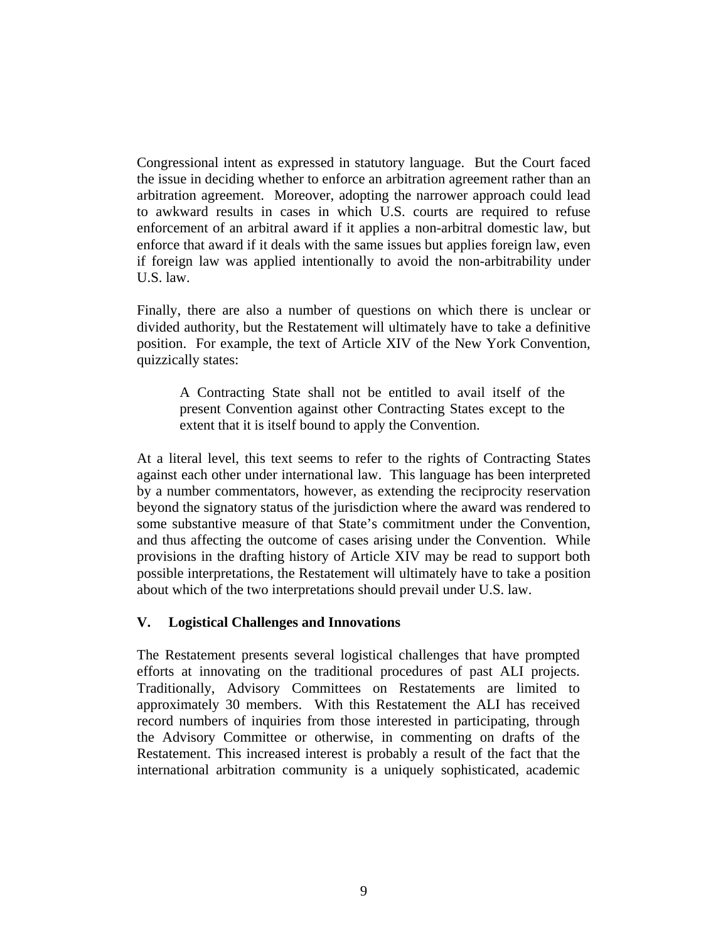Congressional intent as expressed in statutory language. But the Court faced the issue in deciding whether to enforce an arbitration agreement rather than an arbitration agreement. Moreover, adopting the narrower approach could lead to awkward results in cases in which U.S. courts are required to refuse enforcement of an arbitral award if it applies a non-arbitral domestic law, but enforce that award if it deals with the same issues but applies foreign law, even if foreign law was applied intentionally to avoid the non-arbitrability under U.S. law.

Finally, there are also a number of questions on which there is unclear or divided authority, but the Restatement will ultimately have to take a definitive position. For example, the text of Article XIV of the New York Convention, quizzically states:

A Contracting State shall not be entitled to avail itself of the present Convention against other Contracting States except to the extent that it is itself bound to apply the Convention.

At a literal level, this text seems to refer to the rights of Contracting States against each other under international law. This language has been interpreted by a number commentators, however, as extending the reciprocity reservation beyond the signatory status of the jurisdiction where the award was rendered to some substantive measure of that State's commitment under the Convention, and thus affecting the outcome of cases arising under the Convention. While provisions in the drafting history of Article XIV may be read to support both possible interpretations, the Restatement will ultimately have to take a position about which of the two interpretations should prevail under U.S. law.

# **V. Logistical Challenges and Innovations**

The Restatement presents several logistical challenges that have prompted efforts at innovating on the traditional procedures of past ALI projects. Traditionally, Advisory Committees on Restatements are limited to approximately 30 members. With this Restatement the ALI has received record numbers of inquiries from those interested in participating, through the Advisory Committee or otherwise, in commenting on drafts of the Restatement. This increased interest is probably a result of the fact that the international arbitration community is a uniquely sophisticated, academic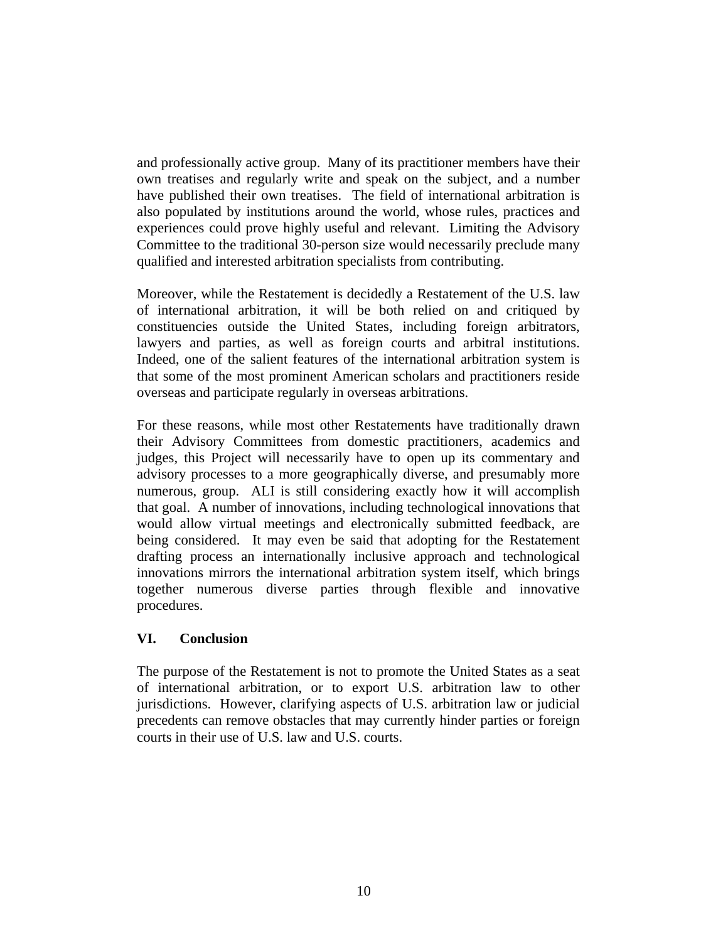and professionally active group. Many of its practitioner members have their own treatises and regularly write and speak on the subject, and a number have published their own treatises. The field of international arbitration is also populated by institutions around the world, whose rules, practices and experiences could prove highly useful and relevant. Limiting the Advisory Committee to the traditional 30-person size would necessarily preclude many qualified and interested arbitration specialists from contributing.

Moreover, while the Restatement is decidedly a Restatement of the U.S. law of international arbitration, it will be both relied on and critiqued by constituencies outside the United States, including foreign arbitrators, lawyers and parties, as well as foreign courts and arbitral institutions. Indeed, one of the salient features of the international arbitration system is that some of the most prominent American scholars and practitioners reside overseas and participate regularly in overseas arbitrations.

For these reasons, while most other Restatements have traditionally drawn their Advisory Committees from domestic practitioners, academics and judges, this Project will necessarily have to open up its commentary and advisory processes to a more geographically diverse, and presumably more numerous, group. ALI is still considering exactly how it will accomplish that goal. A number of innovations, including technological innovations that would allow virtual meetings and electronically submitted feedback, are being considered. It may even be said that adopting for the Restatement drafting process an internationally inclusive approach and technological innovations mirrors the international arbitration system itself, which brings together numerous diverse parties through flexible and innovative procedures.

# **VI. Conclusion**

The purpose of the Restatement is not to promote the United States as a seat of international arbitration, or to export U.S. arbitration law to other jurisdictions. However, clarifying aspects of U.S. arbitration law or judicial precedents can remove obstacles that may currently hinder parties or foreign courts in their use of U.S. law and U.S. courts.